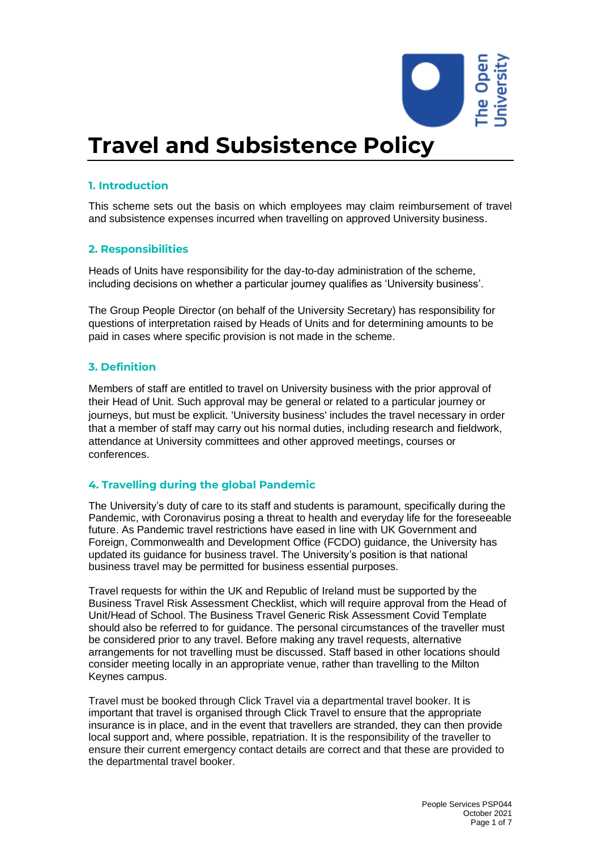

# **Travel and Subsistence Policy**

## **1. Introduction**

This scheme sets out the basis on which employees may claim reimbursement of travel and subsistence expenses incurred when travelling on approved University business.

## **2. Responsibilities**

Heads of Units have responsibility for the day-to-day administration of the scheme, including decisions on whether a particular journey qualifies as 'University business'.

The Group People Director (on behalf of the University Secretary) has responsibility for questions of interpretation raised by Heads of Units and for determining amounts to be paid in cases where specific provision is not made in the scheme.

## **3. Definition**

Members of staff are entitled to travel on University business with the prior approval of their Head of Unit. Such approval may be general or related to a particular journey or journeys, but must be explicit. 'University business' includes the travel necessary in order that a member of staff may carry out his normal duties, including research and fieldwork, attendance at University committees and other approved meetings, courses or conferences.

## **4. Travelling during the global Pandemic**

The University's duty of care to its staff and students is paramount, specifically during the Pandemic, with Coronavirus posing a threat to health and everyday life for the foreseeable future. As Pandemic travel restrictions have eased in line with UK Government and Foreign, Commonwealth and Development Office (FCDO) guidance, the University has updated its guidance for business travel. The University's position is that national business travel may be permitted for business essential purposes.

Travel requests for within the UK and Republic of Ireland must be supported by the Business Travel Risk Assessment Checklist, which will require approval from the Head of Unit/Head of School. The Business Travel Generic Risk Assessment Covid Template should also be referred to for guidance. The personal circumstances of the traveller must be considered prior to any travel. Before making any travel requests, alternative arrangements for not travelling must be discussed. Staff based in other locations should consider meeting locally in an appropriate venue, rather than travelling to the Milton Keynes campus.

Travel must be booked through Click Travel via a departmental travel booker. It is important that travel is organised through Click Travel to ensure that the appropriate insurance is in place, and in the event that travellers are stranded, they can then provide local support and, where possible, repatriation. It is the responsibility of the traveller to ensure their current emergency contact details are correct and that these are provided to the departmental travel booker.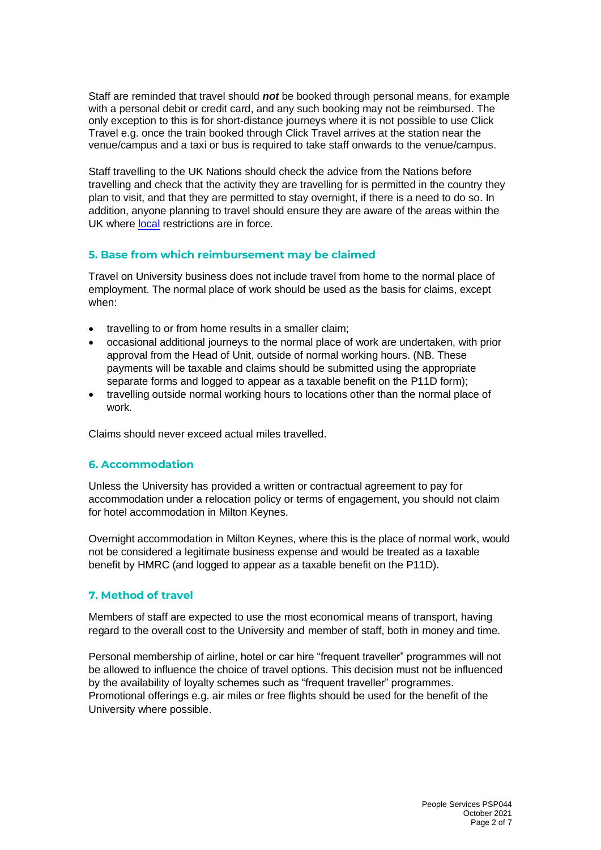Staff are reminded that travel should *not* be booked through personal means, for example with a personal debit or credit card, and any such booking may not be reimbursed. The only exception to this is for short-distance journeys where it is not possible to use Click Travel e.g. once the train booked through Click Travel arrives at the station near the venue/campus and a taxi or bus is required to take staff onwards to the venue/campus.

Staff travelling to the UK Nations should check the advice from the Nations before travelling and check that the activity they are travelling for is permitted in the country they plan to visit, and that they are permitted to stay overnight, if there is a need to do so. In addition, anyone planning to travel should ensure they are aware of the areas within the UK where [local](https://www.gov.uk/government/collections/local-restrictions-areas-with-an-outbreak-of-coronavirus-covid-19) restrictions are in force.

## **5. Base from which reimbursement may be claimed**

Travel on University business does not include travel from home to the normal place of employment. The normal place of work should be used as the basis for claims, except when:

- travelling to or from home results in a smaller claim;
- occasional additional journeys to the normal place of work are undertaken, with prior approval from the Head of Unit, outside of normal working hours. (NB. These payments will be taxable and claims should be submitted using the appropriate separate forms and logged to appear as a taxable benefit on the P11D form);
- travelling outside normal working hours to locations other than the normal place of work.

Claims should never exceed actual miles travelled.

## **6. Accommodation**

Unless the University has provided a written or contractual agreement to pay for accommodation under a relocation policy or terms of engagement, you should not claim for hotel accommodation in Milton Keynes.

Overnight accommodation in Milton Keynes, where this is the place of normal work, would not be considered a legitimate business expense and would be treated as a taxable benefit by HMRC (and logged to appear as a taxable benefit on the P11D).

## **7. Method of travel**

Members of staff are expected to use the most economical means of transport, having regard to the overall cost to the University and member of staff, both in money and time.

Personal membership of airline, hotel or car hire "frequent traveller" programmes will not be allowed to influence the choice of travel options. This decision must not be influenced by the availability of loyalty schemes such as "frequent traveller" programmes. Promotional offerings e.g. air miles or free flights should be used for the benefit of the University where possible.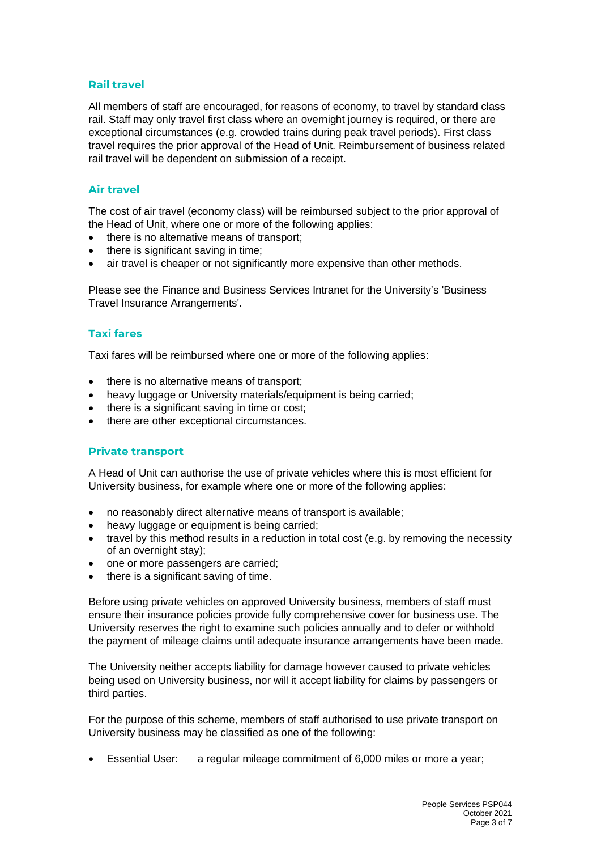## **Rail travel**

All members of staff are encouraged, for reasons of economy, to travel by standard class rail. Staff may only travel first class where an overnight journey is required, or there are exceptional circumstances (e.g. crowded trains during peak travel periods). First class travel requires the prior approval of the Head of Unit. Reimbursement of business related rail travel will be dependent on submission of a receipt.

## **Air travel**

The cost of air travel (economy class) will be reimbursed subject to the prior approval of the Head of Unit, where one or more of the following applies:

- there is no alternative means of transport;
- there is significant saving in time;
- air travel is cheaper or not significantly more expensive than other methods.

Please see the Finance and Business Services Intranet for the University's 'Business Travel Insurance Arrangements'.

## **Taxi fares**

Taxi fares will be reimbursed where one or more of the following applies:

- there is no alternative means of transport;
- heavy luggage or University materials/equipment is being carried:
- there is a significant saving in time or cost:
- there are other exceptional circumstances.

## **Private transport**

A Head of Unit can authorise the use of private vehicles where this is most efficient for University business, for example where one or more of the following applies:

- no reasonably direct alternative means of transport is available;
- heavy luggage or equipment is being carried;
- travel by this method results in a reduction in total cost (e.g. by removing the necessity of an overnight stay);
- one or more passengers are carried;
- there is a significant saving of time.

Before using private vehicles on approved University business, members of staff must ensure their insurance policies provide fully comprehensive cover for business use. The University reserves the right to examine such policies annually and to defer or withhold the payment of mileage claims until adequate insurance arrangements have been made.

The University neither accepts liability for damage however caused to private vehicles being used on University business, nor will it accept liability for claims by passengers or third parties.

For the purpose of this scheme, members of staff authorised to use private transport on University business may be classified as one of the following:

• Essential User: a regular mileage commitment of 6,000 miles or more a year;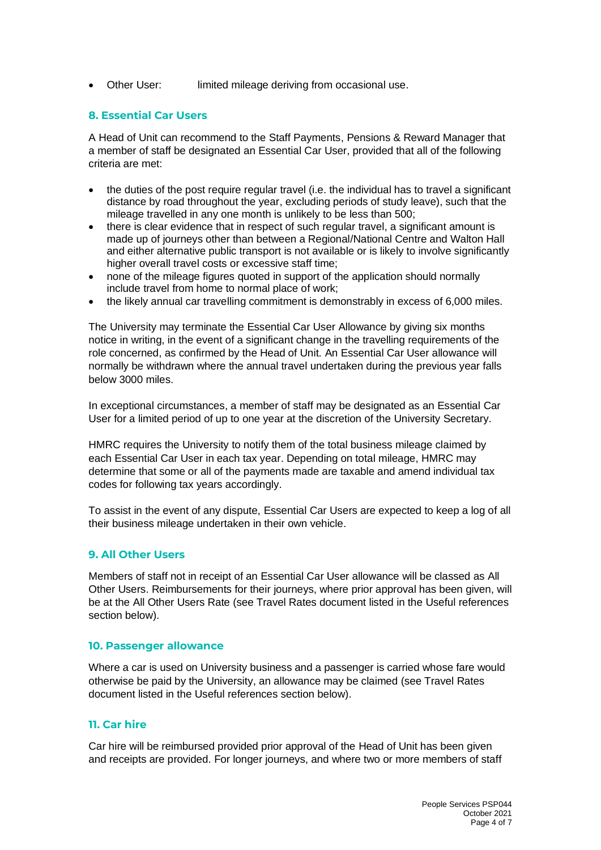• Other User: limited mileage deriving from occasional use.

## **8. Essential Car Users**

A Head of Unit can recommend to the Staff Payments, Pensions & Reward Manager that a member of staff be designated an Essential Car User, provided that all of the following criteria are met:

- the duties of the post require regular travel (i.e. the individual has to travel a significant distance by road throughout the year, excluding periods of study leave), such that the mileage travelled in any one month is unlikely to be less than 500;
- there is clear evidence that in respect of such regular travel, a significant amount is made up of journeys other than between a Regional/National Centre and Walton Hall and either alternative public transport is not available or is likely to involve significantly higher overall travel costs or excessive staff time;
- none of the mileage figures quoted in support of the application should normally include travel from home to normal place of work;
- the likely annual car travelling commitment is demonstrably in excess of 6,000 miles.

The University may terminate the Essential Car User Allowance by giving six months notice in writing, in the event of a significant change in the travelling requirements of the role concerned, as confirmed by the Head of Unit. An Essential Car User allowance will normally be withdrawn where the annual travel undertaken during the previous year falls below 3000 miles.

In exceptional circumstances, a member of staff may be designated as an Essential Car User for a limited period of up to one year at the discretion of the University Secretary.

HMRC requires the University to notify them of the total business mileage claimed by each Essential Car User in each tax year. Depending on total mileage, HMRC may determine that some or all of the payments made are taxable and amend individual tax codes for following tax years accordingly.

To assist in the event of any dispute, Essential Car Users are expected to keep a log of all their business mileage undertaken in their own vehicle.

## **9. All Other Users**

Members of staff not in receipt of an Essential Car User allowance will be classed as All Other Users. Reimbursements for their journeys, where prior approval has been given, will be at the All Other Users Rate (see Travel Rates document listed in the Useful references section below).

#### **10. Passenger allowance**

Where a car is used on University business and a passenger is carried whose fare would otherwise be paid by the University, an allowance may be claimed (see Travel Rates document listed in the Useful references section below).

# **11. Car hire**

Car hire will be reimbursed provided prior approval of the Head of Unit has been given and receipts are provided. For longer journeys, and where two or more members of staff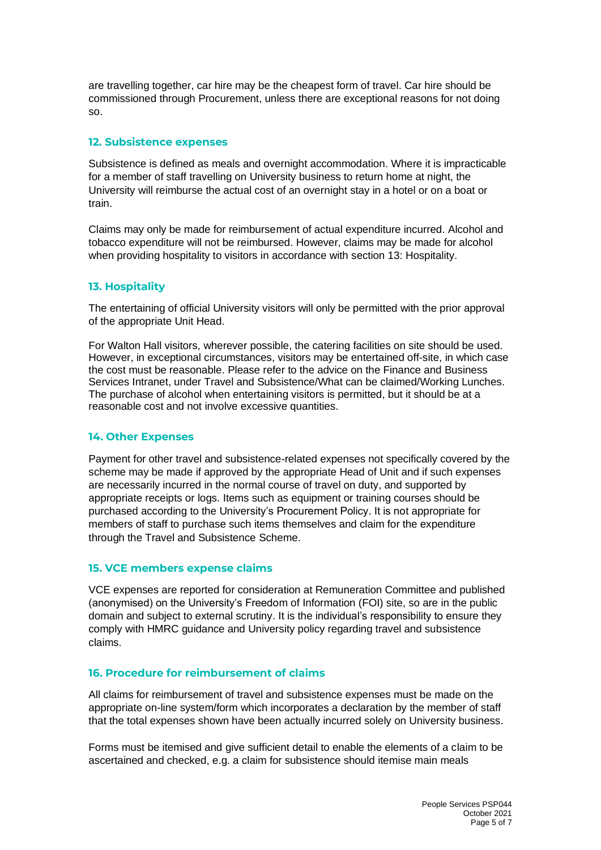are travelling together, car hire may be the cheapest form of travel. Car hire should be commissioned through Procurement, unless there are exceptional reasons for not doing so.

#### **12. Subsistence expenses**

Subsistence is defined as meals and overnight accommodation. Where it is impracticable for a member of staff travelling on University business to return home at night, the University will reimburse the actual cost of an overnight stay in a hotel or on a boat or train.

Claims may only be made for reimbursement of actual expenditure incurred. Alcohol and tobacco expenditure will not be reimbursed. However, claims may be made for alcohol when providing hospitality to visitors in accordance with section 13: Hospitality.

## **13. Hospitality**

The entertaining of official University visitors will only be permitted with the prior approval of the appropriate Unit Head.

For Walton Hall visitors, wherever possible, the catering facilities on site should be used. However, in exceptional circumstances, visitors may be entertained off-site, in which case the cost must be reasonable. Please refer to the advice on the Finance and Business Services Intranet, under Travel and Subsistence/What can be claimed/Working Lunches. The purchase of alcohol when entertaining visitors is permitted, but it should be at a reasonable cost and not involve excessive quantities.

#### **14. Other Expenses**

Payment for other travel and subsistence-related expenses not specifically covered by the scheme may be made if approved by the appropriate Head of Unit and if such expenses are necessarily incurred in the normal course of travel on duty, and supported by appropriate receipts or logs. Items such as equipment or training courses should be purchased according to the University's Procurement Policy. It is not appropriate for members of staff to purchase such items themselves and claim for the expenditure through the Travel and Subsistence Scheme.

#### **15. VCE members expense claims**

VCE expenses are reported for consideration at Remuneration Committee and published (anonymised) on the University's Freedom of Information (FOI) site, so are in the public domain and subject to external scrutiny. It is the individual's responsibility to ensure they comply with HMRC guidance and University policy regarding travel and subsistence claims.

#### **16. Procedure for reimbursement of claims**

All claims for reimbursement of travel and subsistence expenses must be made on the appropriate on-line system/form which incorporates a declaration by the member of staff that the total expenses shown have been actually incurred solely on University business.

Forms must be itemised and give sufficient detail to enable the elements of a claim to be ascertained and checked, e.g. a claim for subsistence should itemise main meals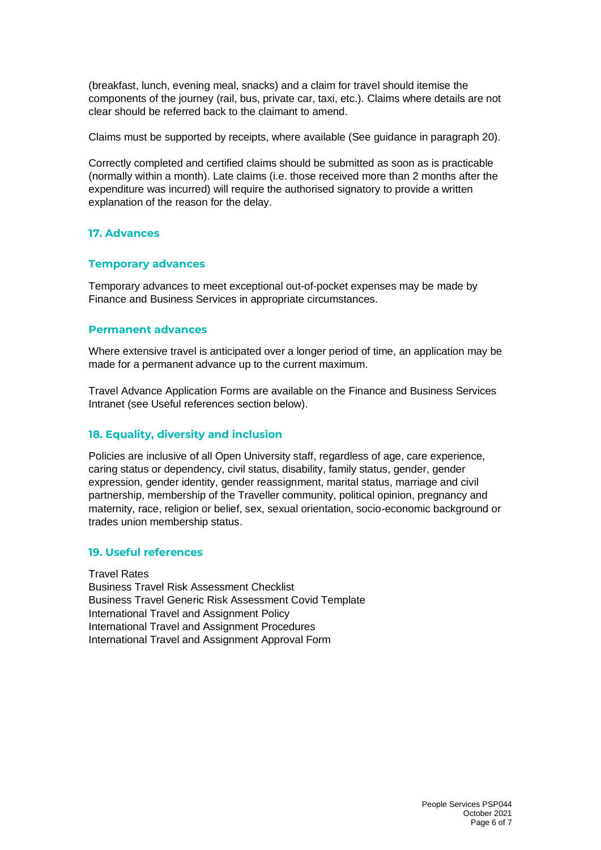(breakfast, lunch, evening meal, snacks) and a claim for travel should itemise the components of the journey (rail, bus, private car, taxi, etc.). Claims where details are not clear should be referred back to the claimant to amend.

Claims must be supported by receipts, where available (See guidance in paragraph 20).

Correctly completed and certified claims should be submitted as soon as is practicable (normally within a month). Late claims (i.e. those received more than 2 months after the expenditure was incurred) will require the authorised signatory to provide a written explanation of the reason for the delay.

## **17. Advances**

#### **Temporary advances**

Temporary advances to meet exceptional out-of-pocket expenses may be made by Finance and Business Services in appropriate circumstances.

#### **Permanent advances**

Where extensive travel is anticipated over a longer period of time, an application may be made for a permanent advance up to the current maximum.

Travel Advance Application Forms are available on the Finance and Business Services Intranet (see Useful references section below).

#### **18. Equality, diversity and inclusion**

Policies are inclusive of all Open University staff, regardless of age, care experience, caring status or dependency, civil status, disability, family status, gender, gender expression, gender identity, gender reassignment, marital status, marriage and civil partnership, membership of the Traveller community, political opinion, pregnancy and maternity, race, religion or belief, sex, sexual orientation, socio-economic background or trades union membership status.

#### **19. Useful references**

Travel Rates Business Travel Risk Assessment Checklist Business Travel Generic Risk Assessment Covid Template International Travel and Assignment Policy International Travel and Assignment Procedures International Travel and Assignment Approval Form